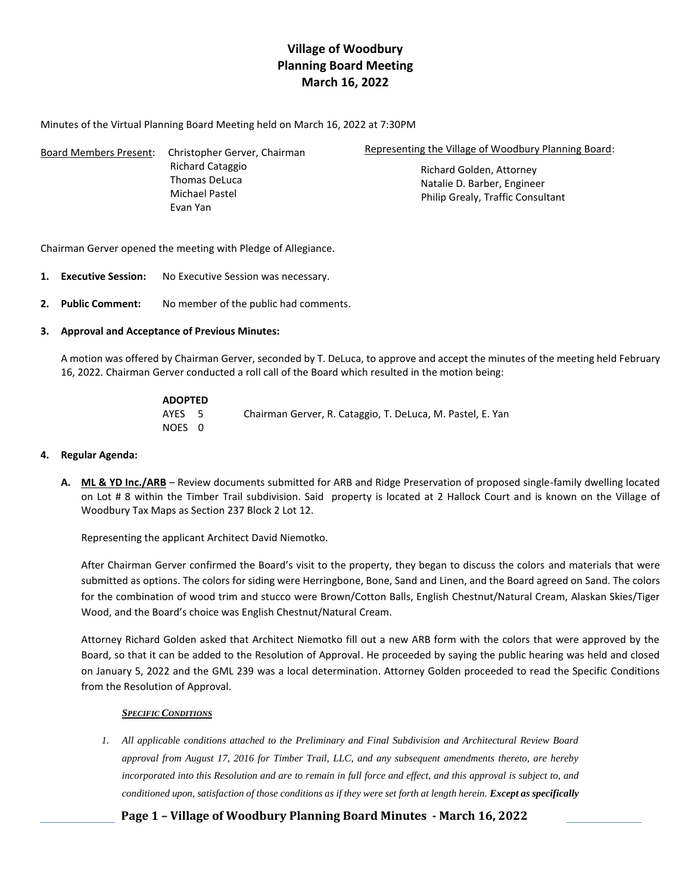# **Village of Woodbury Planning Board Meeting March 16, 2022**

Minutes of the Virtual Planning Board Meeting held on March 16, 2022 at 7:30PM

| <b>Board Members Present:</b> | Christopher Gerver, Chairman | Representing the Village of Woodbury Planning Board: |  |
|-------------------------------|------------------------------|------------------------------------------------------|--|
|                               | Richard Cataggio             | Richard Golden, Attorney                             |  |
|                               | <b>Thomas DeLuca</b>         | Natalie D. Barber, Engineer                          |  |
|                               | Michael Pastel               | Philip Grealy, Traffic Consultant                    |  |
|                               | Evan Yan                     |                                                      |  |

Chairman Gerver opened the meeting with Pledge of Allegiance.

- **1. Executive Session:** No Executive Session was necessary.
- **2. Public Comment:** No member of the public had comments.

## **3. Approval and Acceptance of Previous Minutes:**

A motion was offered by Chairman Gerver, seconded by T. DeLuca, to approve and accept the minutes of the meeting held February 16, 2022. Chairman Gerver conducted a roll call of the Board which resulted in the motion being:

| <b>ADOPTED</b> |                                                            |
|----------------|------------------------------------------------------------|
| AYES 5         | Chairman Gerver, R. Cataggio, T. DeLuca, M. Pastel, E. Yan |
| NOES 0         |                                                            |

### **4. Regular Agenda:**

**A. ML & YD Inc./ARB** – Review documents submitted for ARB and Ridge Preservation of proposed single-family dwelling located on Lot # 8 within the Timber Trail subdivision. Said property is located at 2 Hallock Court and is known on the Village of Woodbury Tax Maps as Section 237 Block 2 Lot 12.

Representing the applicant Architect David Niemotko.

After Chairman Gerver confirmed the Board's visit to the property, they began to discuss the colors and materials that were submitted as options. The colors for siding were Herringbone, Bone, Sand and Linen, and the Board agreed on Sand. The colors for the combination of wood trim and stucco were Brown/Cotton Balls, English Chestnut/Natural Cream, Alaskan Skies/Tiger Wood, and the Board's choice was English Chestnut/Natural Cream.

Attorney Richard Golden asked that Architect Niemotko fill out a new ARB form with the colors that were approved by the Board, so that it can be added to the Resolution of Approval. He proceeded by saying the public hearing was held and closed on January 5, 2022 and the GML 239 was a local determination. Attorney Golden proceeded to read the Specific Conditions from the Resolution of Approval.

### *SPECIFIC CONDITIONS*

*1. All applicable conditions attached to the Preliminary and Final Subdivision and Architectural Review Board approval from August 17, 2016 for Timber Trail, LLC, and any subsequent amendments thereto, are hereby incorporated into this Resolution and are to remain in full force and effect, and this approval is subject to, and conditioned upon, satisfaction of those conditions as if they were set forth at length herein. Except as specifically* 

**Page 1 – Village of Woodbury Planning Board Minutes - March 16, 2022**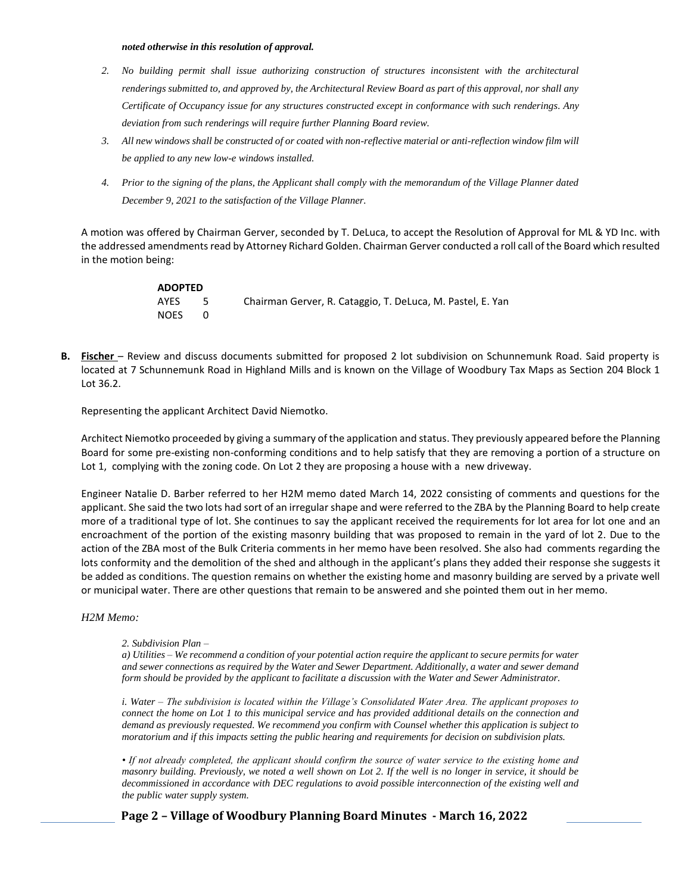#### *noted otherwise in this resolution of approval.*

- *2. No building permit shall issue authorizing construction of structures inconsistent with the architectural renderings submitted to, and approved by, the Architectural Review Board as part of this approval, nor shall any Certificate of Occupancy issue for any structures constructed except in conformance with such renderings. Any deviation from such renderings will require further Planning Board review.*
- *3. All new windows shall be constructed of or coated with non-reflective material or anti-reflection window film will be applied to any new low-e windows installed.*
- *4. Prior to the signing of the plans, the Applicant shall comply with the memorandum of the Village Planner dated December 9, 2021 to the satisfaction of the Village Planner.*

A motion was offered by Chairman Gerver, seconded by T. DeLuca, to accept the Resolution of Approval for ML & YD Inc. with the addressed amendments read by Attorney Richard Golden. Chairman Gerver conducted a roll call of the Board which resulted in the motion being:

| <b>ADOPTED</b> |     |                                                            |
|----------------|-----|------------------------------------------------------------|
| AYES           | -5. | Chairman Gerver, R. Cataggio, T. DeLuca, M. Pastel, E. Yan |
| <b>NOES</b>    |     |                                                            |

**B.** Fischer – Review and discuss documents submitted for proposed 2 lot subdivision on Schunnemunk Road. Said property is located at 7 Schunnemunk Road in Highland Mills and is known on the Village of Woodbury Tax Maps as Section 204 Block 1 Lot 36.2.

Representing the applicant Architect David Niemotko.

Architect Niemotko proceeded by giving a summary of the application and status. They previously appeared before the Planning Board for some pre-existing non-conforming conditions and to help satisfy that they are removing a portion of a structure on Lot 1, complying with the zoning code. On Lot 2 they are proposing a house with a new driveway.

Engineer Natalie D. Barber referred to her H2M memo dated March 14, 2022 consisting of comments and questions for the applicant. She said the two lots had sort of an irregular shape and were referred to the ZBA by the Planning Board to help create more of a traditional type of lot. She continues to say the applicant received the requirements for lot area for lot one and an encroachment of the portion of the existing masonry building that was proposed to remain in the yard of lot 2. Due to the action of the ZBA most of the Bulk Criteria comments in her memo have been resolved. She also had comments regarding the lots conformity and the demolition of the shed and although in the applicant's plans they added their response she suggests it be added as conditions. The question remains on whether the existing home and masonry building are served by a private well or municipal water. There are other questions that remain to be answered and she pointed them out in her memo.

*H2M Memo:* 

#### *2. Subdivision Plan –*

*a) Utilities – We recommend a condition of your potential action require the applicant to secure permits for water and sewer connections as required by the Water and Sewer Department. Additionally, a water and sewer demand form should be provided by the applicant to facilitate a discussion with the Water and Sewer Administrator.* 

*i. Water – The subdivision is located within the Village's Consolidated Water Area. The applicant proposes to connect the home on Lot 1 to this municipal service and has provided additional details on the connection and demand as previously requested. We recommend you confirm with Counsel whether this application is subject to moratorium and if this impacts setting the public hearing and requirements for decision on subdivision plats.* 

*• If not already completed, the applicant should confirm the source of water service to the existing home and masonry building. Previously, we noted a well shown on Lot 2. If the well is no longer in service, it should be decommissioned in accordance with DEC regulations to avoid possible interconnection of the existing well and the public water supply system.*

**Page 2 – Village of Woodbury Planning Board Minutes - March 16, 2022**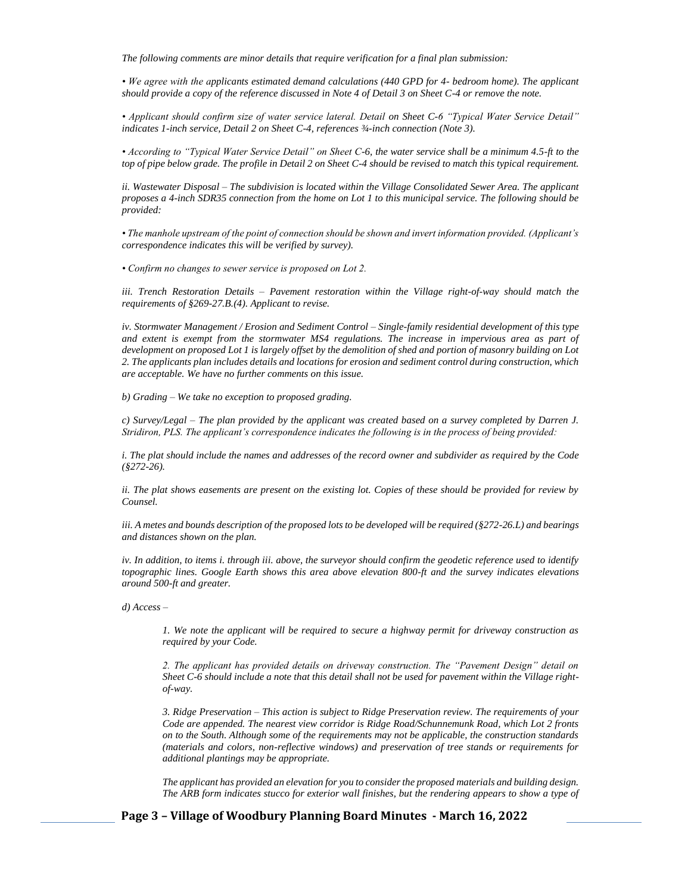*The following comments are minor details that require verification for a final plan submission:* 

*• We agree with the applicants estimated demand calculations (440 GPD for 4- bedroom home). The applicant should provide a copy of the reference discussed in Note 4 of Detail 3 on Sheet C-4 or remove the note.* 

*• Applicant should confirm size of water service lateral. Detail on Sheet C-6 "Typical Water Service Detail" indicates 1-inch service, Detail 2 on Sheet C-4, references ¾-inch connection (Note 3).* 

*• According to "Typical Water Service Detail" on Sheet C-6, the water service shall be a minimum 4.5-ft to the top of pipe below grade. The profile in Detail 2 on Sheet C-4 should be revised to match this typical requirement.* 

ii. Wastewater Disposal – The subdivision is located within the Village Consolidated Sewer Area. The applicant *proposes a 4-inch SDR35 connection from the home on Lot 1 to this municipal service. The following should be provided:* 

*• The manhole upstream of the point of connection should be shown and invert information provided. (Applicant's correspondence indicates this will be verified by survey).* 

*• Confirm no changes to sewer service is proposed on Lot 2.* 

*iii. Trench Restoration Details – Pavement restoration within the Village right-of-way should match the requirements of §269-27.B.(4). Applicant to revise.* 

*iv. Stormwater Management / Erosion and Sediment Control – Single-family residential development of this type and extent is exempt from the stormwater MS4 regulations. The increase in impervious area as part of development on proposed Lot 1 is largely offset by the demolition of shed and portion of masonry building on Lot 2. The applicants plan includes details and locations for erosion and sediment control during construction, which are acceptable. We have no further comments on this issue.* 

*b) Grading – We take no exception to proposed grading.* 

*c) Survey/Legal – The plan provided by the applicant was created based on a survey completed by Darren J. Stridiron, PLS. The applicant's correspondence indicates the following is in the process of being provided:* 

*i. The plat should include the names and addresses of the record owner and subdivider as required by the Code (§272-26).* 

*ii. The plat shows easements are present on the existing lot. Copies of these should be provided for review by Counsel.* 

*iii. A metes and bounds description of the proposed lots to be developed will be required (§272-26.L) and bearings and distances shown on the plan.* 

*iv. In addition, to items i. through iii. above, the surveyor should confirm the geodetic reference used to identify topographic lines. Google Earth shows this area above elevation 800-ft and the survey indicates elevations around 500-ft and greater.* 

*d) Access –*

*1. We note the applicant will be required to secure a highway permit for driveway construction as required by your Code.*

*2. The applicant has provided details on driveway construction. The "Pavement Design" detail on Sheet C-6 should include a note that this detail shall not be used for pavement within the Village rightof-way.* 

*3. Ridge Preservation – This action is subject to Ridge Preservation review. The requirements of your Code are appended. The nearest view corridor is Ridge Road/Schunnemunk Road, which Lot 2 fronts on to the South. Although some of the requirements may not be applicable, the construction standards (materials and colors, non-reflective windows) and preservation of tree stands or requirements for additional plantings may be appropriate.* 

*The applicant has provided an elevation for you to consider the proposed materials and building design. The ARB form indicates stucco for exterior wall finishes, but the rendering appears to show a type of* 

**Page 3 – Village of Woodbury Planning Board Minutes - March 16, 2022**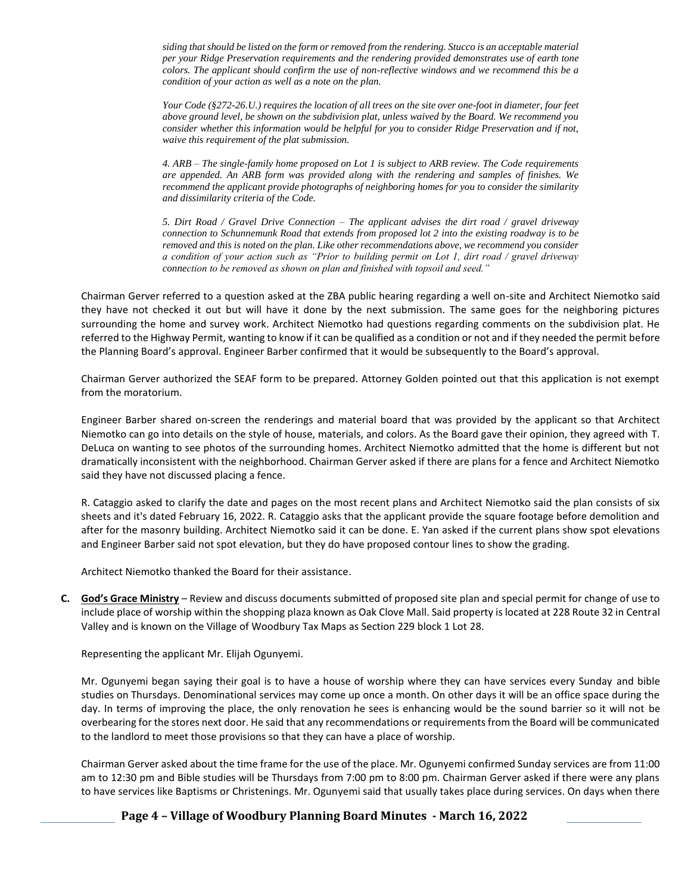*siding that should be listed on the form or removed from the rendering. Stucco is an acceptable material per your Ridge Preservation requirements and the rendering provided demonstrates use of earth tone colors. The applicant should confirm the use of non-reflective windows and we recommend this be a condition of your action as well as a note on the plan.* 

*Your Code (§272-26.U.) requires the location of all trees on the site over one-foot in diameter, four feet above ground level, be shown on the subdivision plat, unless waived by the Board. We recommend you consider whether this information would be helpful for you to consider Ridge Preservation and if not, waive this requirement of the plat submission.* 

*4. ARB – The single-family home proposed on Lot 1 is subject to ARB review. The Code requirements are appended. An ARB form was provided along with the rendering and samples of finishes. We recommend the applicant provide photographs of neighboring homes for you to consider the similarity and dissimilarity criteria of the Code.* 

*5. Dirt Road / Gravel Drive Connection – The applicant advises the dirt road / gravel driveway connection to Schunnemunk Road that extends from proposed lot 2 into the existing roadway is to be removed and this is noted on the plan. Like other recommendations above, we recommend you consider a condition of your action such as "Prior to building permit on Lot 1, dirt road / gravel driveway connection to be removed as shown on plan and finished with topsoil and seed."* 

Chairman Gerver referred to a question asked at the ZBA public hearing regarding a well on-site and Architect Niemotko said they have not checked it out but will have it done by the next submission. The same goes for the neighboring pictures surrounding the home and survey work. Architect Niemotko had questions regarding comments on the subdivision plat. He referred to the Highway Permit, wanting to know if it can be qualified as a condition or not and if they needed the permit before the Planning Board's approval. Engineer Barber confirmed that it would be subsequently to the Board's approval.

Chairman Gerver authorized the SEAF form to be prepared. Attorney Golden pointed out that this application is not exempt from the moratorium.

Engineer Barber shared on-screen the renderings and material board that was provided by the applicant so that Architect Niemotko can go into details on the style of house, materials, and colors. As the Board gave their opinion, they agreed with T. DeLuca on wanting to see photos of the surrounding homes. Architect Niemotko admitted that the home is different but not dramatically inconsistent with the neighborhood. Chairman Gerver asked if there are plans for a fence and Architect Niemotko said they have not discussed placing a fence.

R. Cataggio asked to clarify the date and pages on the most recent plans and Architect Niemotko said the plan consists of six sheets and it's dated February 16, 2022. R. Cataggio asks that the applicant provide the square footage before demolition and after for the masonry building. Architect Niemotko said it can be done. E. Yan asked if the current plans show spot elevations and Engineer Barber said not spot elevation, but they do have proposed contour lines to show the grading.

Architect Niemotko thanked the Board for their assistance.

**C. God's Grace Ministry** – Review and discuss documents submitted of proposed site plan and special permit for change of use to include place of worship within the shopping plaza known as Oak Clove Mall. Said property is located at 228 Route 32 in Central Valley and is known on the Village of Woodbury Tax Maps as Section 229 block 1 Lot 28.

Representing the applicant Mr. Elijah Ogunyemi.

Mr. Ogunyemi began saying their goal is to have a house of worship where they can have services every Sunday and bible studies on Thursdays. Denominational services may come up once a month. On other days it will be an office space during the day. In terms of improving the place, the only renovation he sees is enhancing would be the sound barrier so it will not be overbearing for the stores next door. He said that any recommendations or requirements from the Board will be communicated to the landlord to meet those provisions so that they can have a place of worship.

Chairman Gerver asked about the time frame for the use of the place. Mr. Ogunyemi confirmed Sunday services are from 11:00 am to 12:30 pm and Bible studies will be Thursdays from 7:00 pm to 8:00 pm. Chairman Gerver asked if there were any plans to have services like Baptisms or Christenings. Mr. Ogunyemi said that usually takes place during services. On days when there

**Page 4 – Village of Woodbury Planning Board Minutes - March 16, 2022**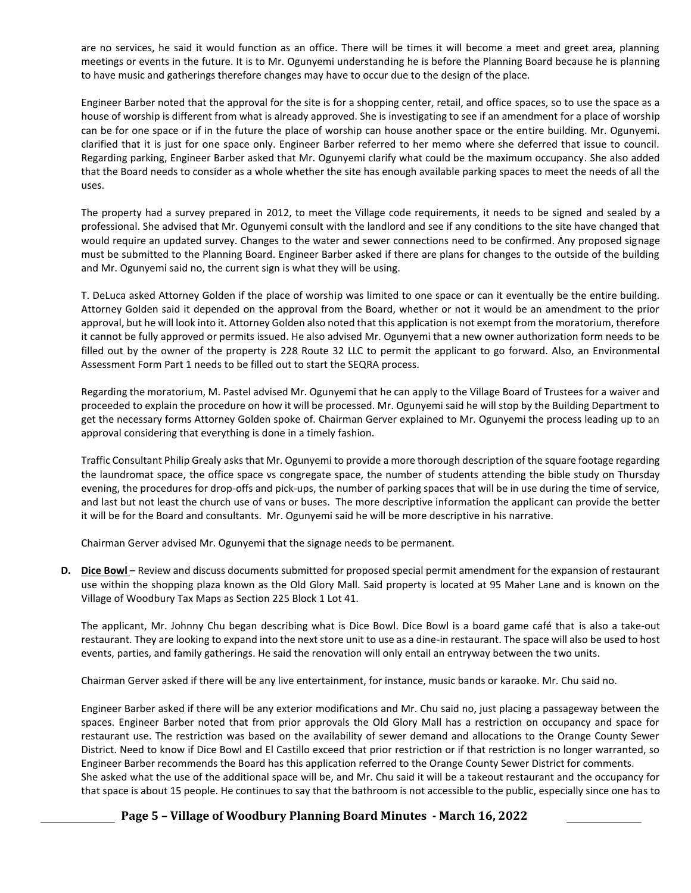are no services, he said it would function as an office. There will be times it will become a meet and greet area, planning meetings or events in the future. It is to Mr. Ogunyemi understanding he is before the Planning Board because he is planning to have music and gatherings therefore changes may have to occur due to the design of the place.

Engineer Barber noted that the approval for the site is for a shopping center, retail, and office spaces, so to use the space as a house of worship is different from what is already approved. She is investigating to see if an amendment for a place of worship can be for one space or if in the future the place of worship can house another space or the entire building. Mr. Ogunyemi. clarified that it is just for one space only. Engineer Barber referred to her memo where she deferred that issue to council. Regarding parking, Engineer Barber asked that Mr. Ogunyemi clarify what could be the maximum occupancy. She also added that the Board needs to consider as a whole whether the site has enough available parking spaces to meet the needs of all the uses.

The property had a survey prepared in 2012, to meet the Village code requirements, it needs to be signed and sealed by a professional. She advised that Mr. Ogunyemi consult with the landlord and see if any conditions to the site have changed that would require an updated survey. Changes to the water and sewer connections need to be confirmed. Any proposed signage must be submitted to the Planning Board. Engineer Barber asked if there are plans for changes to the outside of the building and Mr. Ogunyemi said no, the current sign is what they will be using.

T. DeLuca asked Attorney Golden if the place of worship was limited to one space or can it eventually be the entire building. Attorney Golden said it depended on the approval from the Board, whether or not it would be an amendment to the prior approval, but he will look into it. Attorney Golden also noted that this application is not exempt from the moratorium, therefore it cannot be fully approved or permits issued. He also advised Mr. Ogunyemi that a new owner authorization form needs to be filled out by the owner of the property is 228 Route 32 LLC to permit the applicant to go forward. Also, an Environmental Assessment Form Part 1 needs to be filled out to start the SEQRA process.

Regarding the moratorium, M. Pastel advised Mr. Ogunyemi that he can apply to the Village Board of Trustees for a waiver and proceeded to explain the procedure on how it will be processed. Mr. Ogunyemi said he will stop by the Building Department to get the necessary forms Attorney Golden spoke of. Chairman Gerver explained to Mr. Ogunyemi the process leading up to an approval considering that everything is done in a timely fashion.

Traffic Consultant Philip Grealy asks that Mr. Ogunyemi to provide a more thorough description of the square footage regarding the laundromat space, the office space vs congregate space, the number of students attending the bible study on Thursday evening, the procedures for drop-offs and pick-ups, the number of parking spaces that will be in use during the time of service, and last but not least the church use of vans or buses. The more descriptive information the applicant can provide the better it will be for the Board and consultants. Mr. Ogunyemi said he will be more descriptive in his narrative.

Chairman Gerver advised Mr. Ogunyemi that the signage needs to be permanent.

**D.** Dice Bowl – Review and discuss documents submitted for proposed special permit amendment for the expansion of restaurant use within the shopping plaza known as the Old Glory Mall. Said property is located at 95 Maher Lane and is known on the Village of Woodbury Tax Maps as Section 225 Block 1 Lot 41.

The applicant, Mr. Johnny Chu began describing what is Dice Bowl. Dice Bowl is a board game café that is also a take-out restaurant. They are looking to expand into the next store unit to use as a dine-in restaurant. The space will also be used to host events, parties, and family gatherings. He said the renovation will only entail an entryway between the two units.

Chairman Gerver asked if there will be any live entertainment, for instance, music bands or karaoke. Mr. Chu said no.

Engineer Barber asked if there will be any exterior modifications and Mr. Chu said no, just placing a passageway between the spaces. Engineer Barber noted that from prior approvals the Old Glory Mall has a restriction on occupancy and space for restaurant use. The restriction was based on the availability of sewer demand and allocations to the Orange County Sewer District. Need to know if Dice Bowl and El Castillo exceed that prior restriction or if that restriction is no longer warranted, so Engineer Barber recommends the Board has this application referred to the Orange County Sewer District for comments. She asked what the use of the additional space will be, and Mr. Chu said it will be a takeout restaurant and the occupancy for that space is about 15 people. He continues to say that the bathroom is not accessible to the public, especially since one has to

# **Page 5 – Village of Woodbury Planning Board Minutes - March 16, 2022**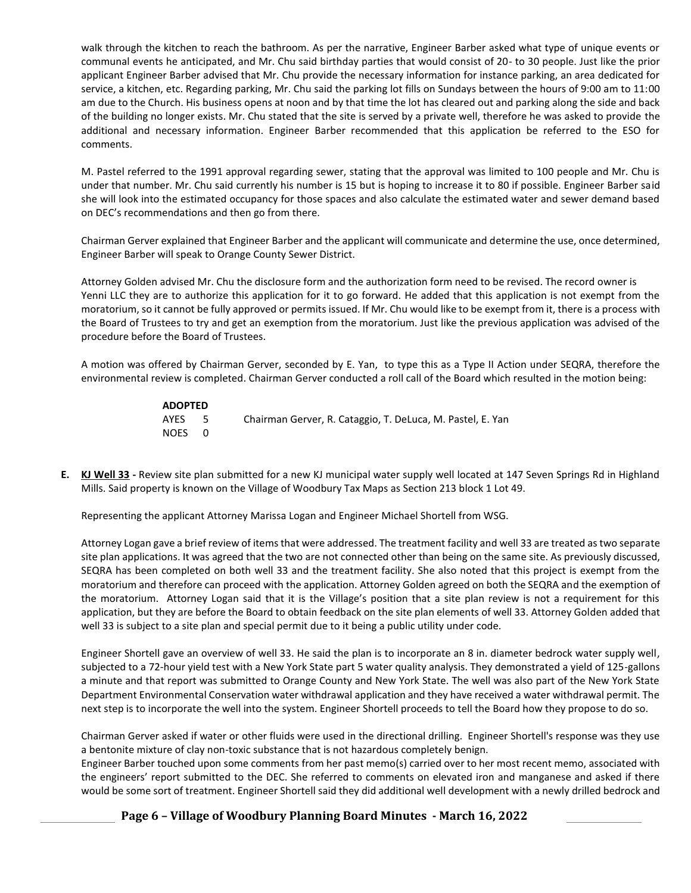walk through the kitchen to reach the bathroom. As per the narrative, Engineer Barber asked what type of unique events or communal events he anticipated, and Mr. Chu said birthday parties that would consist of 20- to 30 people. Just like the prior applicant Engineer Barber advised that Mr. Chu provide the necessary information for instance parking, an area dedicated for service, a kitchen, etc. Regarding parking, Mr. Chu said the parking lot fills on Sundays between the hours of 9:00 am to 11:00 am due to the Church. His business opens at noon and by that time the lot has cleared out and parking along the side and back of the building no longer exists. Mr. Chu stated that the site is served by a private well, therefore he was asked to provide the additional and necessary information. Engineer Barber recommended that this application be referred to the ESO for comments.

M. Pastel referred to the 1991 approval regarding sewer, stating that the approval was limited to 100 people and Mr. Chu is under that number. Mr. Chu said currently his number is 15 but is hoping to increase it to 80 if possible. Engineer Barber said she will look into the estimated occupancy for those spaces and also calculate the estimated water and sewer demand based on DEC's recommendations and then go from there.

Chairman Gerver explained that Engineer Barber and the applicant will communicate and determine the use, once determined, Engineer Barber will speak to Orange County Sewer District.

Attorney Golden advised Mr. Chu the disclosure form and the authorization form need to be revised. The record owner is Yenni LLC they are to authorize this application for it to go forward. He added that this application is not exempt from the moratorium, so it cannot be fully approved or permits issued. If Mr. Chu would like to be exempt from it, there is a process with the Board of Trustees to try and get an exemption from the moratorium. Just like the previous application was advised of the procedure before the Board of Trustees.

A motion was offered by Chairman Gerver, seconded by E. Yan, to type this as a Type II Action under SEQRA, therefore the environmental review is completed. Chairman Gerver conducted a roll call of the Board which resulted in the motion being:

| <b>ADOPTED</b> |      |                                                            |
|----------------|------|------------------------------------------------------------|
| AYES           | $-5$ | Chairman Gerver, R. Cataggio, T. DeLuca, M. Pastel, E. Yan |
| NOES 0         |      |                                                            |

**E. KJ Well 33 -** Review site plan submitted for a new KJ municipal water supply well located at 147 Seven Springs Rd in Highland Mills. Said property is known on the Village of Woodbury Tax Maps as Section 213 block 1 Lot 49.

Representing the applicant Attorney Marissa Logan and Engineer Michael Shortell from WSG.

Attorney Logan gave a brief review of items that were addressed. The treatment facility and well 33 are treated as two separate site plan applications. It was agreed that the two are not connected other than being on the same site. As previously discussed, SEQRA has been completed on both well 33 and the treatment facility. She also noted that this project is exempt from the moratorium and therefore can proceed with the application. Attorney Golden agreed on both the SEQRA and the exemption of the moratorium. Attorney Logan said that it is the Village's position that a site plan review is not a requirement for this application, but they are before the Board to obtain feedback on the site plan elements of well 33. Attorney Golden added that well 33 is subject to a site plan and special permit due to it being a public utility under code.

Engineer Shortell gave an overview of well 33. He said the plan is to incorporate an 8 in. diameter bedrock water supply well, subjected to a 72-hour yield test with a New York State part 5 water quality analysis. They demonstrated a yield of 125-gallons a minute and that report was submitted to Orange County and New York State. The well was also part of the New York State Department Environmental Conservation water withdrawal application and they have received a water withdrawal permit. The next step is to incorporate the well into the system. Engineer Shortell proceeds to tell the Board how they propose to do so.

Chairman Gerver asked if water or other fluids were used in the directional drilling. Engineer Shortell's response was they use a bentonite mixture of clay non-toxic substance that is not hazardous completely benign.

Engineer Barber touched upon some comments from her past memo(s) carried over to her most recent memo, associated with the engineers' report submitted to the DEC. She referred to comments on elevated iron and manganese and asked if there would be some sort of treatment. Engineer Shortell said they did additional well development with a newly drilled bedrock and

**Page 6 – Village of Woodbury Planning Board Minutes - March 16, 2022**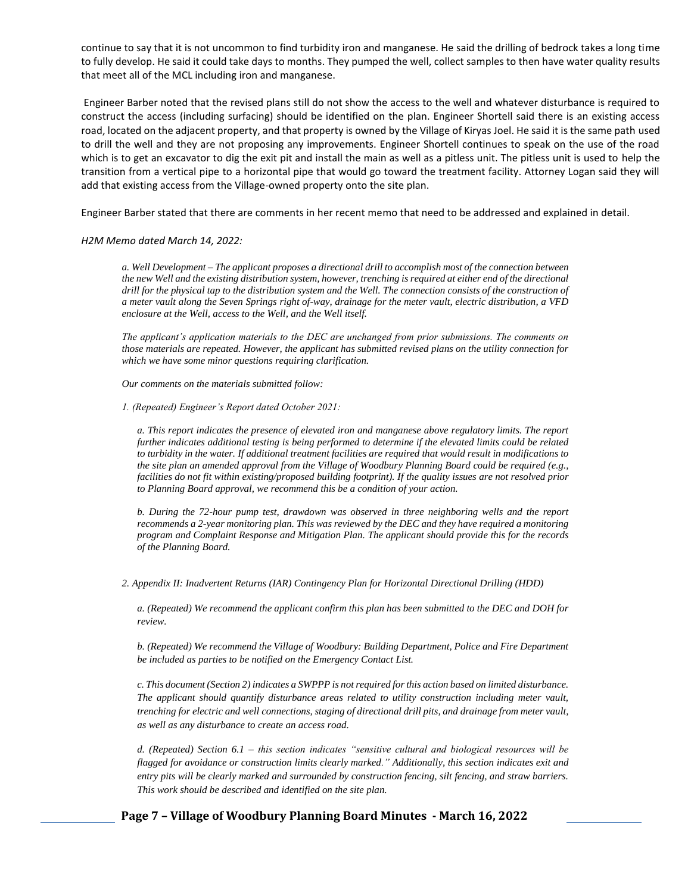continue to say that it is not uncommon to find turbidity iron and manganese. He said the drilling of bedrock takes a long time to fully develop. He said it could take days to months. They pumped the well, collect samples to then have water quality results that meet all of the MCL including iron and manganese.

Engineer Barber noted that the revised plans still do not show the access to the well and whatever disturbance is required to construct the access (including surfacing) should be identified on the plan. Engineer Shortell said there is an existing access road, located on the adjacent property, and that property is owned by the Village of Kiryas Joel. He said it is the same path used to drill the well and they are not proposing any improvements. Engineer Shortell continues to speak on the use of the road which is to get an excavator to dig the exit pit and install the main as well as a pitless unit. The pitless unit is used to help the transition from a vertical pipe to a horizontal pipe that would go toward the treatment facility. Attorney Logan said they will add that existing access from the Village-owned property onto the site plan.

Engineer Barber stated that there are comments in her recent memo that need to be addressed and explained in detail.

### *H2M Memo dated March 14, 2022:*

*a. Well Development – The applicant proposes a directional drill to accomplish most of the connection between the new Well and the existing distribution system, however, trenching is required at either end of the directional drill for the physical tap to the distribution system and the Well. The connection consists of the construction of a meter vault along the Seven Springs right of-way, drainage for the meter vault, electric distribution, a VFD enclosure at the Well, access to the Well, and the Well itself.* 

*The applicant's application materials to the DEC are unchanged from prior submissions. The comments on those materials are repeated. However, the applicant has submitted revised plans on the utility connection for which we have some minor questions requiring clarification.* 

*Our comments on the materials submitted follow:* 

*1. (Repeated) Engineer's Report dated October 2021:* 

*a. This report indicates the presence of elevated iron and manganese above regulatory limits. The report further indicates additional testing is being performed to determine if the elevated limits could be related to turbidity in the water. If additional treatment facilities are required that would result in modifications to the site plan an amended approval from the Village of Woodbury Planning Board could be required (e.g., facilities do not fit within existing/proposed building footprint). If the quality issues are not resolved prior to Planning Board approval, we recommend this be a condition of your action.* 

*b. During the 72-hour pump test, drawdown was observed in three neighboring wells and the report recommends a 2-year monitoring plan. This was reviewed by the DEC and they have required a monitoring program and Complaint Response and Mitigation Plan. The applicant should provide this for the records of the Planning Board.*

*2. Appendix II: Inadvertent Returns (IAR) Contingency Plan for Horizontal Directional Drilling (HDD)* 

*a. (Repeated) We recommend the applicant confirm this plan has been submitted to the DEC and DOH for review.* 

*b. (Repeated) We recommend the Village of Woodbury: Building Department, Police and Fire Department be included as parties to be notified on the Emergency Contact List.* 

*c. This document (Section 2) indicates a SWPPP is not required for this action based on limited disturbance. The applicant should quantify disturbance areas related to utility construction including meter vault, trenching for electric and well connections, staging of directional drill pits, and drainage from meter vault, as well as any disturbance to create an access road.* 

*d. (Repeated) Section 6.1 – this section indicates "sensitive cultural and biological resources will be flagged for avoidance or construction limits clearly marked." Additionally, this section indicates exit and entry pits will be clearly marked and surrounded by construction fencing, silt fencing, and straw barriers. This work should be described and identified on the site plan.* 

**Page 7 – Village of Woodbury Planning Board Minutes - March 16, 2022**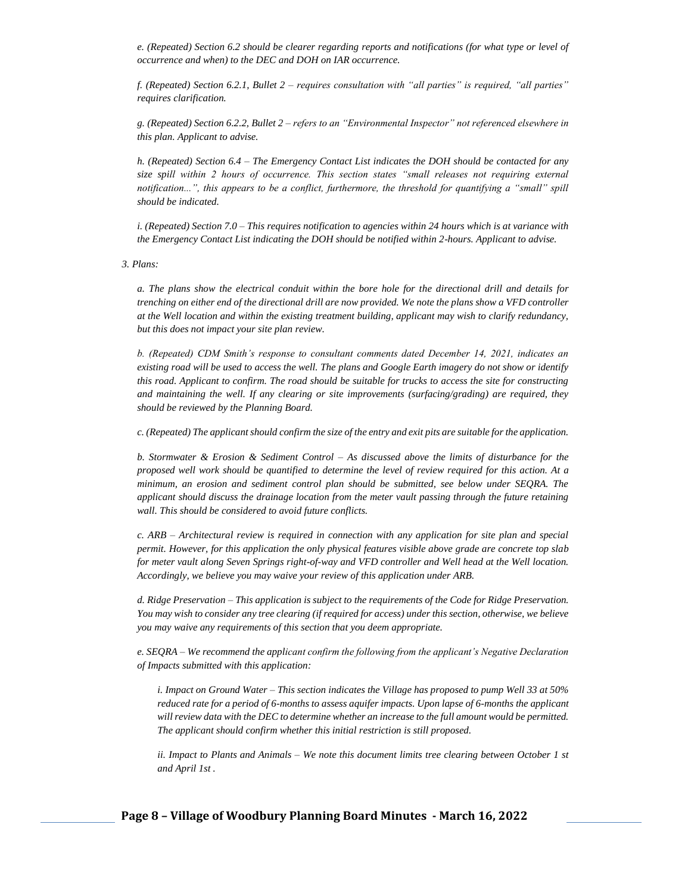*e. (Repeated) Section 6.2 should be clearer regarding reports and notifications (for what type or level of occurrence and when) to the DEC and DOH on IAR occurrence.* 

*f. (Repeated) Section 6.2.1, Bullet 2 – requires consultation with "all parties" is required, "all parties" requires clarification.* 

*g. (Repeated) Section 6.2.2, Bullet 2 – refers to an "Environmental Inspector" not referenced elsewhere in this plan. Applicant to advise.* 

*h. (Repeated) Section 6.4 – The Emergency Contact List indicates the DOH should be contacted for any size spill within 2 hours of occurrence. This section states "small releases not requiring external notification...", this appears to be a conflict, furthermore, the threshold for quantifying a "small" spill should be indicated.* 

*i. (Repeated) Section 7.0 – This requires notification to agencies within 24 hours which is at variance with the Emergency Contact List indicating the DOH should be notified within 2-hours. Applicant to advise.* 

*3. Plans:* 

*a. The plans show the electrical conduit within the bore hole for the directional drill and details for trenching on either end of the directional drill are now provided. We note the plans show a VFD controller at the Well location and within the existing treatment building, applicant may wish to clarify redundancy, but this does not impact your site plan review.*

*b. (Repeated) CDM Smith's response to consultant comments dated December 14, 2021, indicates an existing road will be used to access the well. The plans and Google Earth imagery do not show or identify this road. Applicant to confirm. The road should be suitable for trucks to access the site for constructing and maintaining the well. If any clearing or site improvements (surfacing/grading) are required, they should be reviewed by the Planning Board.* 

*c. (Repeated) The applicant should confirm the size of the entry and exit pits are suitable for the application.*

*b. Stormwater & Erosion & Sediment Control – As discussed above the limits of disturbance for the proposed well work should be quantified to determine the level of review required for this action. At a minimum, an erosion and sediment control plan should be submitted, see below under SEQRA. The applicant should discuss the drainage location from the meter vault passing through the future retaining wall. This should be considered to avoid future conflicts.* 

*c. ARB – Architectural review is required in connection with any application for site plan and special permit. However, for this application the only physical features visible above grade are concrete top slab for meter vault along Seven Springs right-of-way and VFD controller and Well head at the Well location. Accordingly, we believe you may waive your review of this application under ARB.* 

*d. Ridge Preservation – This application is subject to the requirements of the Code for Ridge Preservation. You may wish to consider any tree clearing (if required for access) under this section, otherwise, we believe you may waive any requirements of this section that you deem appropriate.*

*e. SEQRA – We recommend the applicant confirm the following from the applicant's Negative Declaration of Impacts submitted with this application:* 

*i. Impact on Ground Water – This section indicates the Village has proposed to pump Well 33 at 50% reduced rate for a period of 6-months to assess aquifer impacts. Upon lapse of 6-months the applicant will review data with the DEC to determine whether an increase to the full amount would be permitted. The applicant should confirm whether this initial restriction is still proposed.* 

*ii. Impact to Plants and Animals – We note this document limits tree clearing between October 1 st and April 1st .*